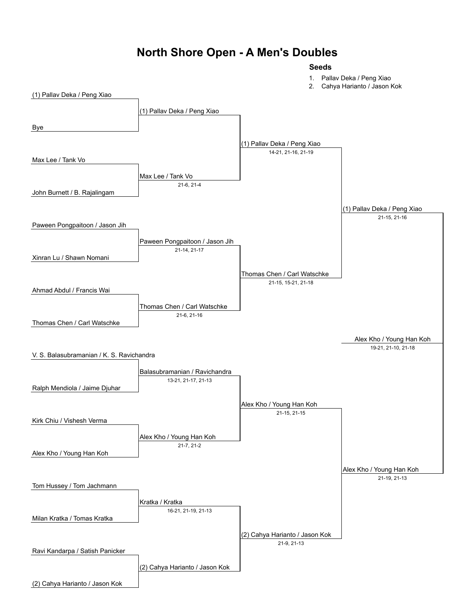#### **North Shore Open - A Men's Doubles**

#### **Seeds**

1. Pallav Deka / Peng Xiao

2. Cahya Harianto / Jason Kok

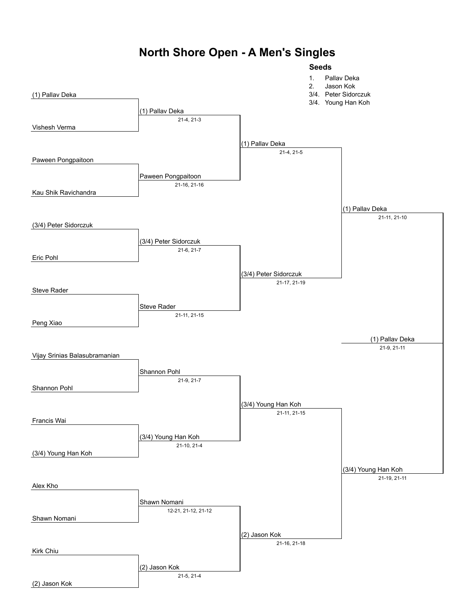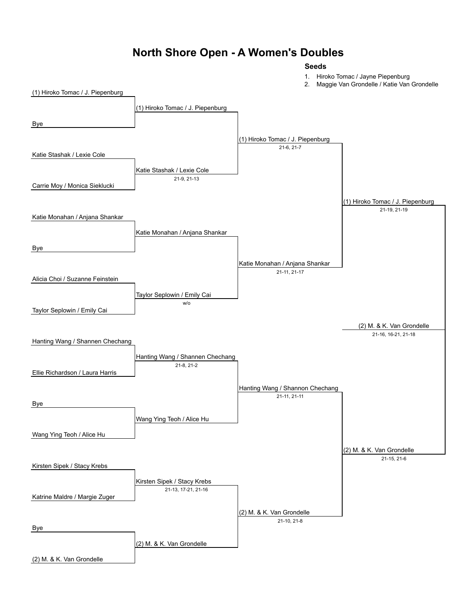#### **North Shore Open - A Women's Doubles**

#### **Seeds**

1. Hiroko Tomac / Jayne Piepenburg

2. Maggie Van Grondelle / Katie Van Grondelle

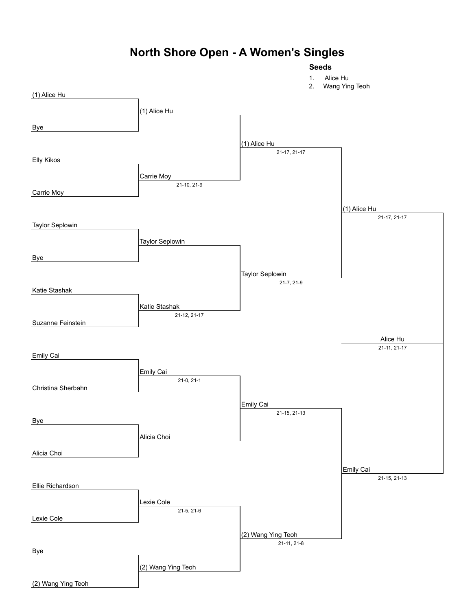### **North Shore Open - A Women's Singles**

**Seeds**

#### 1. Alice Hu 2. Wang Ying Teoh (1) Alice Hu (1) Alice Hu Bye (1) Alice Hu 21-17, 21-17 Elly Kikos Carrie Moy 21-10, 21-9 Carrie Moy (1) Alice Hu 21-17, 21-17 Taylor Seplowin Taylor Seplowin Bye Taylor Seplowin 21-7, 21-9 Katie Stashak Katie Stashak 21-12, 21-17 Suzanne Feinstein Alice Hu 21-11, 21-17 Emily Cai Emily Cai 21-0, 21-1 Christina Sherbahn Emily Cai 21-15, 21-13 Bye Alicia Choi Alicia Choi Emily Cai 21-15, 21-13 Ellie Richardson

(2) Wang Ying Teoh

21-11, 21-8

(2) Wang Ying Teoh

Lexie Cole

Bye

Lexie Cole

(2) Wang Ying Teoh

21-5, 21-6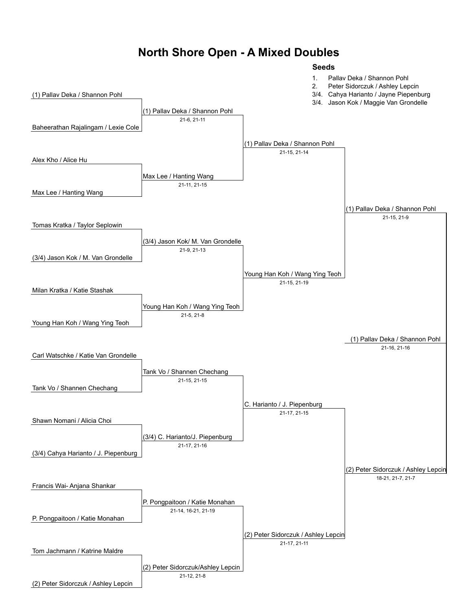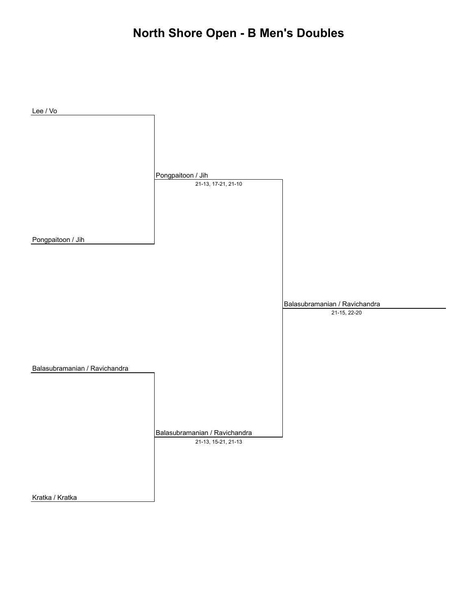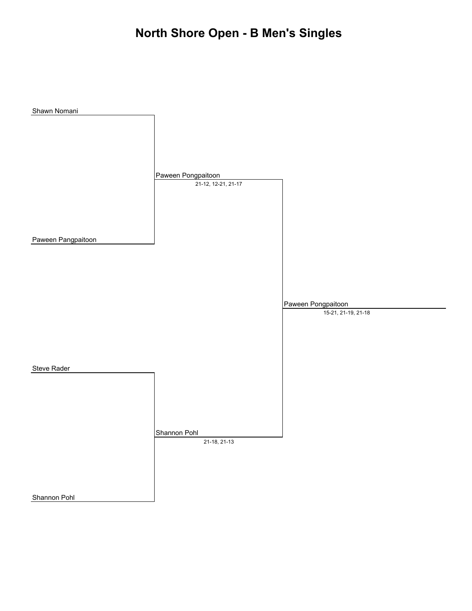# **North Shore Open - B Men's Singles**

| Shawn Nomani       |                     |                     |
|--------------------|---------------------|---------------------|
|                    |                     |                     |
|                    |                     |                     |
|                    |                     |                     |
|                    |                     |                     |
|                    |                     |                     |
|                    |                     |                     |
|                    |                     |                     |
|                    |                     |                     |
|                    | Paween Pongpaitoon  |                     |
|                    | 21-12, 12-21, 21-17 |                     |
|                    |                     |                     |
|                    |                     |                     |
|                    |                     |                     |
|                    |                     |                     |
|                    |                     |                     |
|                    |                     |                     |
|                    |                     |                     |
| Paween Pangpaitoon |                     |                     |
|                    |                     |                     |
|                    |                     |                     |
|                    |                     |                     |
|                    |                     |                     |
|                    |                     |                     |
|                    |                     |                     |
|                    |                     |                     |
|                    |                     |                     |
|                    |                     | Paween Pongpaitoon  |
|                    |                     | 15-21, 21-19, 21-18 |
|                    |                     |                     |
|                    |                     |                     |
|                    |                     |                     |
|                    |                     |                     |
|                    |                     |                     |
|                    |                     |                     |
|                    |                     |                     |
| <b>Steve Rader</b> |                     |                     |
|                    |                     |                     |
|                    |                     |                     |
|                    |                     |                     |
|                    |                     |                     |
|                    |                     |                     |
|                    |                     |                     |
|                    |                     |                     |
|                    |                     |                     |
|                    | Shannon Pohl        |                     |
|                    |                     |                     |
|                    | 21-18, 21-13        |                     |
|                    |                     |                     |
|                    |                     |                     |
|                    |                     |                     |
|                    |                     |                     |
|                    |                     |                     |
|                    |                     |                     |
| Shannon Pohl       |                     |                     |
|                    |                     |                     |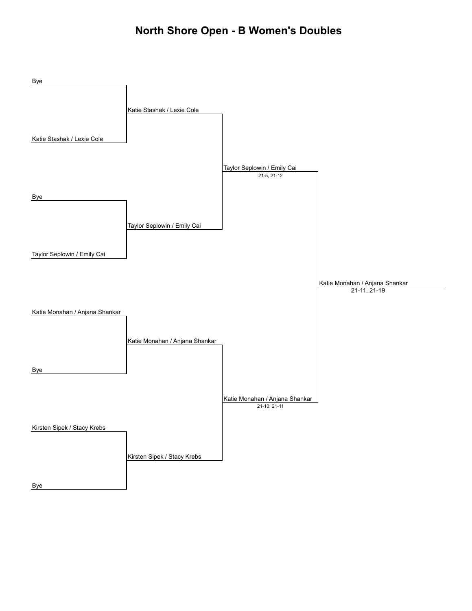### **North Shore Open - B Women's Doubles**

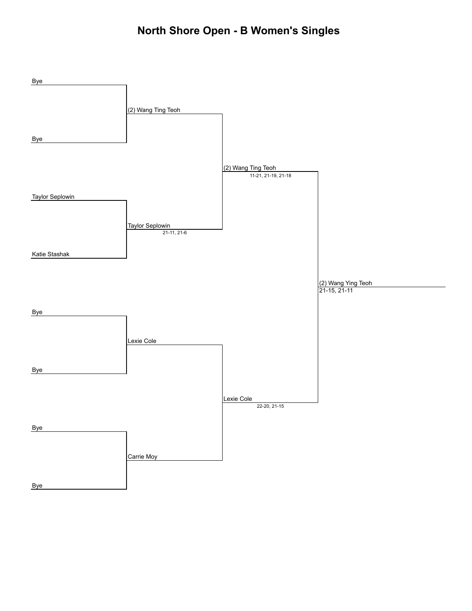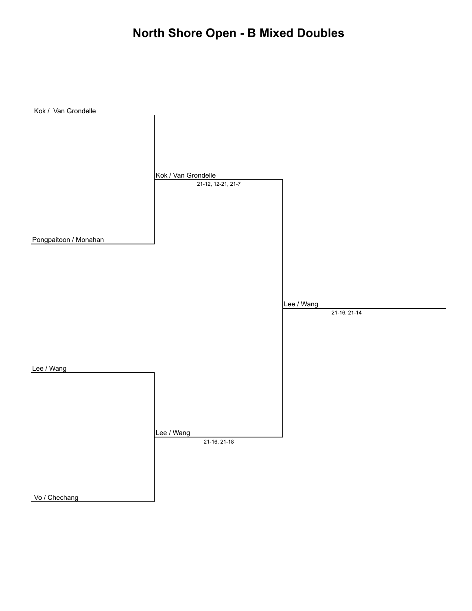## **North Shore Open - B Mixed Doubles**

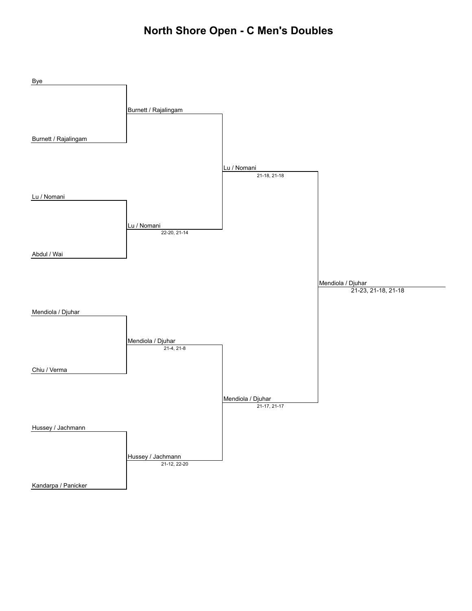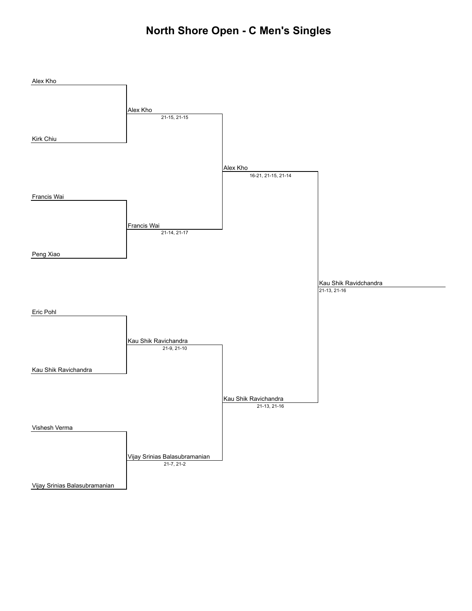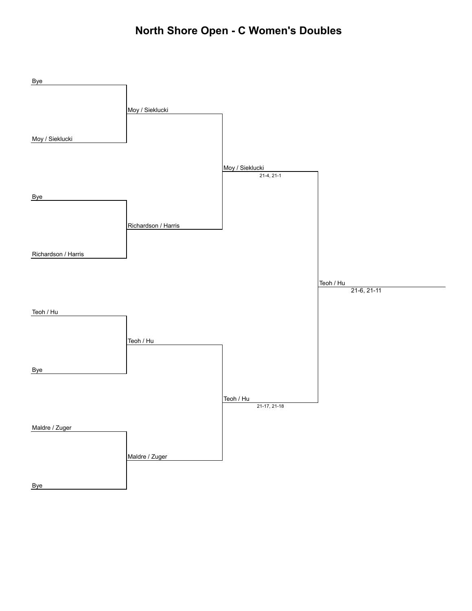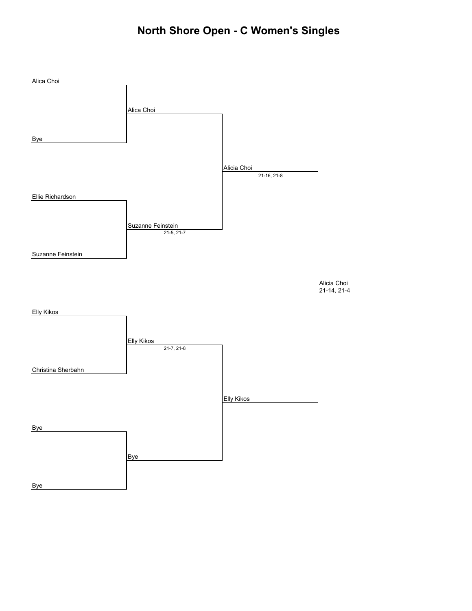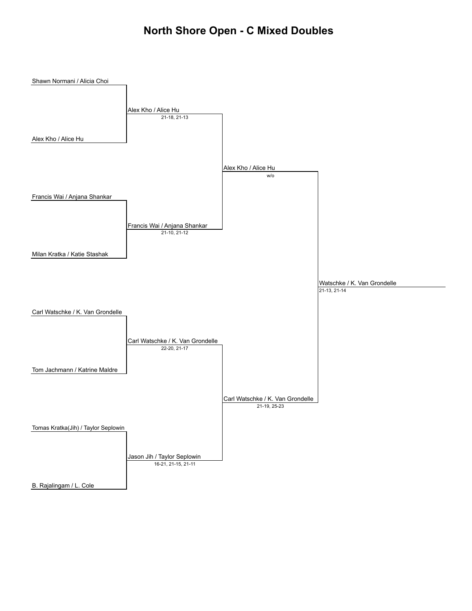#### **North Shore Open - C Mixed Doubles**

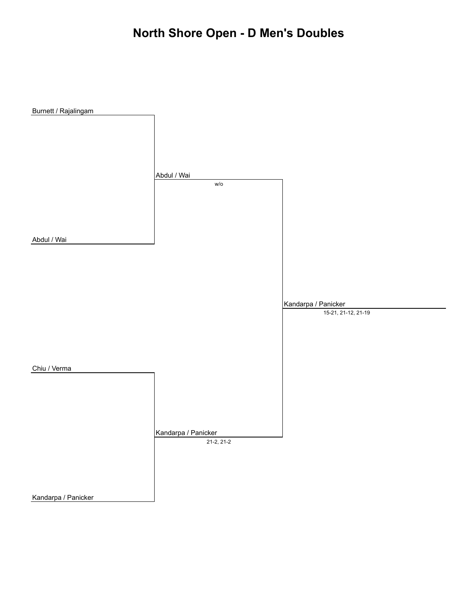## **North Shore Open - D Men's Doubles**

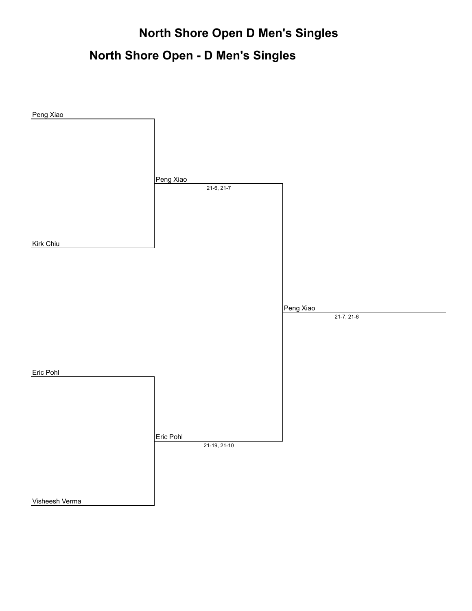## **North Shore Open D Men's Singles**

## **North Shore Open - D Men's Singles**

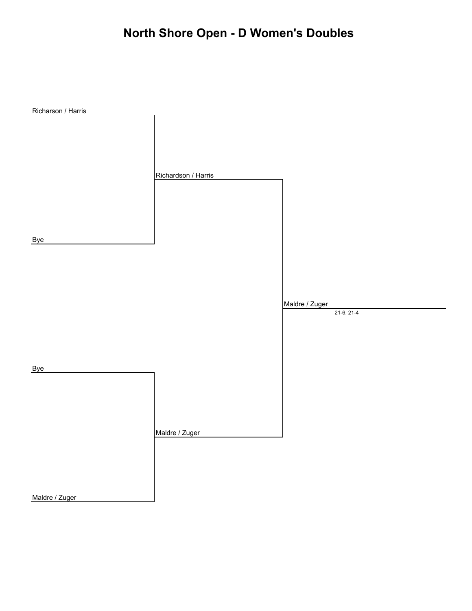# **North Shore Open - D Women's Doubles**

| Richarson / Harris |                     |                |
|--------------------|---------------------|----------------|
|                    |                     |                |
|                    |                     |                |
|                    |                     |                |
|                    |                     |                |
|                    | Richardson / Harris |                |
|                    |                     |                |
|                    |                     |                |
|                    |                     |                |
|                    |                     |                |
| <b>Bye</b>         |                     |                |
|                    |                     |                |
|                    |                     |                |
|                    |                     |                |
|                    |                     | Maldre / Zuger |
|                    |                     | $21-6, 21-4$   |
|                    |                     |                |
|                    |                     |                |
|                    |                     |                |
| <b>Bye</b>         |                     |                |
|                    |                     |                |
|                    |                     |                |
|                    |                     |                |
|                    |                     |                |
|                    | Maldre / Zuger      |                |
|                    |                     |                |
|                    |                     |                |
|                    |                     |                |
| Maldre / Zuger     |                     |                |

Maldre / Zuger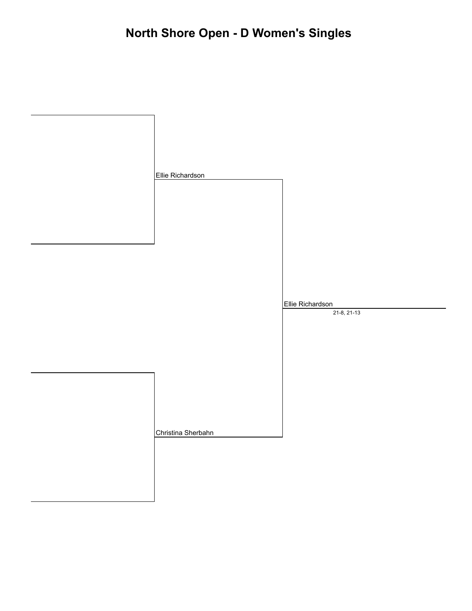| Ellie Richardson   |                                 |
|--------------------|---------------------------------|
|                    |                                 |
|                    | Ellie Richardson<br>21-8, 21-13 |
| Christina Sherbahn |                                 |